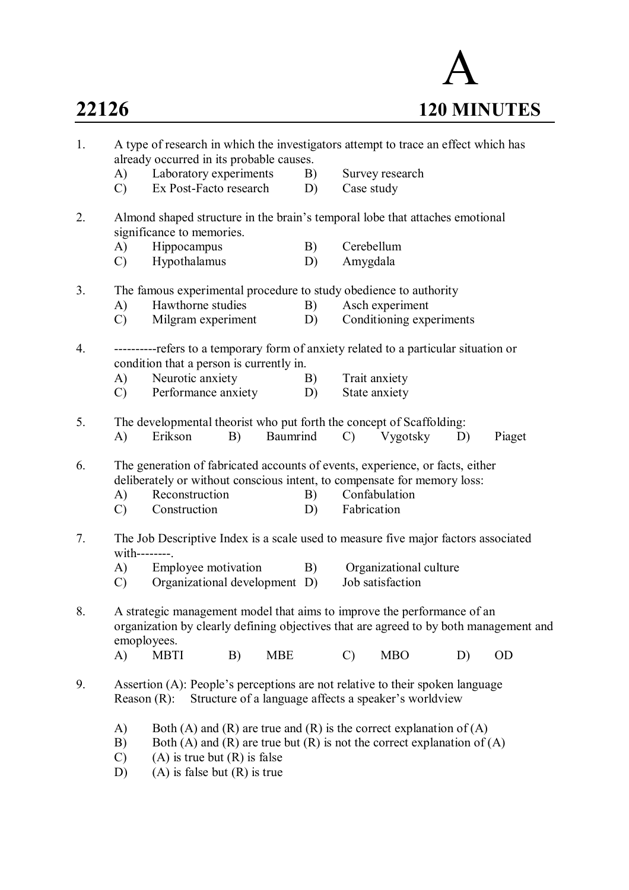

| 1. | A type of research in which the investigators attempt to trace an effect which has<br>already occurred in its probable causes. |                                                                                                                                                                                                                        |    |            |    |               |                                                       |    |           |  |
|----|--------------------------------------------------------------------------------------------------------------------------------|------------------------------------------------------------------------------------------------------------------------------------------------------------------------------------------------------------------------|----|------------|----|---------------|-------------------------------------------------------|----|-----------|--|
|    | A)                                                                                                                             | Laboratory experiments                                                                                                                                                                                                 |    |            | B) |               | Survey research                                       |    |           |  |
|    | $\mathcal{C}$                                                                                                                  | Ex Post-Facto research                                                                                                                                                                                                 |    |            | D) | Case study    |                                                       |    |           |  |
| 2. |                                                                                                                                | Almond shaped structure in the brain's temporal lobe that attaches emotional<br>significance to memories.                                                                                                              |    |            |    |               |                                                       |    |           |  |
|    | A)                                                                                                                             | Hippocampus                                                                                                                                                                                                            |    |            | B) | Cerebellum    |                                                       |    |           |  |
|    | $\mathcal{C}$                                                                                                                  | Hypothalamus                                                                                                                                                                                                           |    |            | D) | Amygdala      |                                                       |    |           |  |
| 3. |                                                                                                                                | The famous experimental procedure to study obedience to authority                                                                                                                                                      |    |            |    |               |                                                       |    |           |  |
|    | A)                                                                                                                             | Hawthorne studies                                                                                                                                                                                                      |    |            | B) |               | Asch experiment                                       |    |           |  |
|    | $\mathcal{C}$                                                                                                                  | Milgram experiment                                                                                                                                                                                                     |    |            | D) |               | Conditioning experiments                              |    |           |  |
| 4. |                                                                                                                                | ----------refers to a temporary form of anxiety related to a particular situation or<br>condition that a person is currently in.                                                                                       |    |            |    |               |                                                       |    |           |  |
|    | A)                                                                                                                             | Neurotic anxiety                                                                                                                                                                                                       |    |            | B) |               | Trait anxiety                                         |    |           |  |
|    | $\mathcal{C}$                                                                                                                  | Performance anxiety                                                                                                                                                                                                    |    |            | D) |               | State anxiety                                         |    |           |  |
| 5. |                                                                                                                                | The developmental theorist who put forth the concept of Scaffolding:                                                                                                                                                   |    |            |    |               |                                                       |    |           |  |
|    | A)                                                                                                                             | Erikson                                                                                                                                                                                                                | B) | Baumrind   |    | $\mathcal{C}$ | Vygotsky                                              | D) | Piaget    |  |
| 6. |                                                                                                                                | The generation of fabricated accounts of events, experience, or facts, either<br>deliberately or without conscious intent, to compensate for memory loss:                                                              |    |            |    |               |                                                       |    |           |  |
|    | A)                                                                                                                             | Reconstruction                                                                                                                                                                                                         |    |            | B) |               | Confabulation                                         |    |           |  |
|    | $\mathcal{C}$                                                                                                                  | Construction                                                                                                                                                                                                           |    |            | D) | Fabrication   |                                                       |    |           |  |
| 7. | with--------.                                                                                                                  | The Job Descriptive Index is a scale used to measure five major factors associated                                                                                                                                     |    |            |    |               |                                                       |    |           |  |
|    | A)                                                                                                                             | Employee motivation                                                                                                                                                                                                    |    |            | B) |               | Organizational culture                                |    |           |  |
|    | $\mathcal{C}$                                                                                                                  | Organizational development D)                                                                                                                                                                                          |    |            |    |               | Job satisfaction                                      |    |           |  |
| 8. | emoployees.                                                                                                                    | A strategic management model that aims to improve the performance of an<br>organization by clearly defining objectives that are agreed to by both management and                                                       |    |            |    |               |                                                       |    |           |  |
|    | $\mathbf{A}$                                                                                                                   | <b>MBTI</b>                                                                                                                                                                                                            | B) | <b>MBE</b> |    | $\mathcal{C}$ | <b>MBO</b>                                            | D) | <b>OD</b> |  |
| 9. | Reason $(R)$ :                                                                                                                 | Assertion (A): People's perceptions are not relative to their spoken language                                                                                                                                          |    |            |    |               | Structure of a language affects a speaker's worldview |    |           |  |
|    | A)<br>B)<br>$\mathcal{C}$<br>D)                                                                                                | Both (A) and (R) are true and (R) is the correct explanation of (A)<br>Both (A) and (R) are true but (R) is not the correct explanation of (A)<br>$(A)$ is true but $(R)$ is false<br>$(A)$ is false but $(R)$ is true |    |            |    |               |                                                       |    |           |  |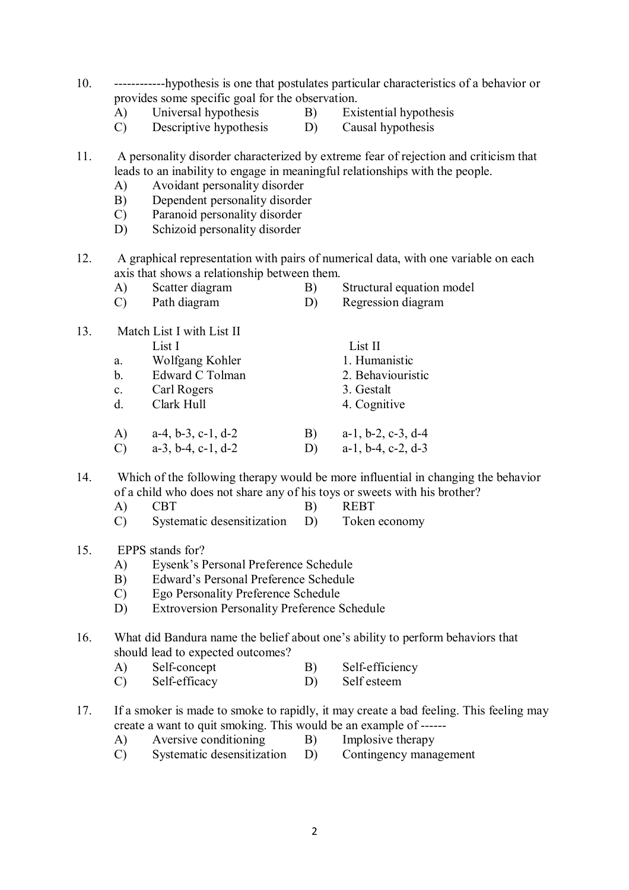- 10. ------------hypothesis is one that postulates particular characteristics of a behavior or provides some specific goal for the observation.<br>A) Universal hypothesis B) Exi
	- A) Universal hypothesis B) Existential hypothesis
- - C) Descriptive hypothesis D) Causal hypothesis
- 
- 11. A personality disorder characterized by extreme fear of rejection and criticism that leads to an inability to engage in meaningful relationships with the people.
	- A) Avoidant personality disorder
	- B) Dependent personality disorder
	- C) Paranoid personality disorder
	- D) Schizoid personality disorder
- 12. A graphical representation with pairs of numerical data, with one variable on each axis that shows a relationship between them.
	-
	- A) Scatter diagram B) Structural equation model<br>
	C) Path diagram D) Regression diagram
		- Regression diagram
- 13. Match List I with List II List I<br>
Wolfgang Kohler<br>
1. Humanistic a. Wolfgang Kohler b. Edward C Tolman 2. Behaviouristic c. Carl Rogers 3. Gestalt d. Clark Hull 4. Cognitive A) a-4, b-3, c-1, d-2 B) a-1, b-2, c-3, d-4 C) a-3, b-4, c-1, d-2 D) a-1, b-4, c-2, d-3
- 14. Which of the following therapy would be more influential in changing the behavior of a child who does not share any of his toys or sweets with his brother?
	- A) CBT B) REBT
	- C) Systematic desensitization D) Token economy
- 15. EPPS stands for?
	- A) Eysenk's Personal Preference Schedule
	- B) Edward's Personal Preference Schedule
	- C) Ego Personality Preference Schedule
	- D) Extroversion Personality Preference Schedule
- 16. What did Bandura name the belief about one's ability to perform behaviors that should lead to expected outcomes?
	- A) Self-concept B) Self-efficiency
	- C) Self-efficacy D) Self esteem
- 17. If a smoker is made to smoke to rapidly, it may create a bad feeling. This feeling may create a want to quit smoking. This would be an example of ------
	- A) Aversive conditioning B) Implosive therapy
		-
	- C) Systematic desensitization D) Contingency management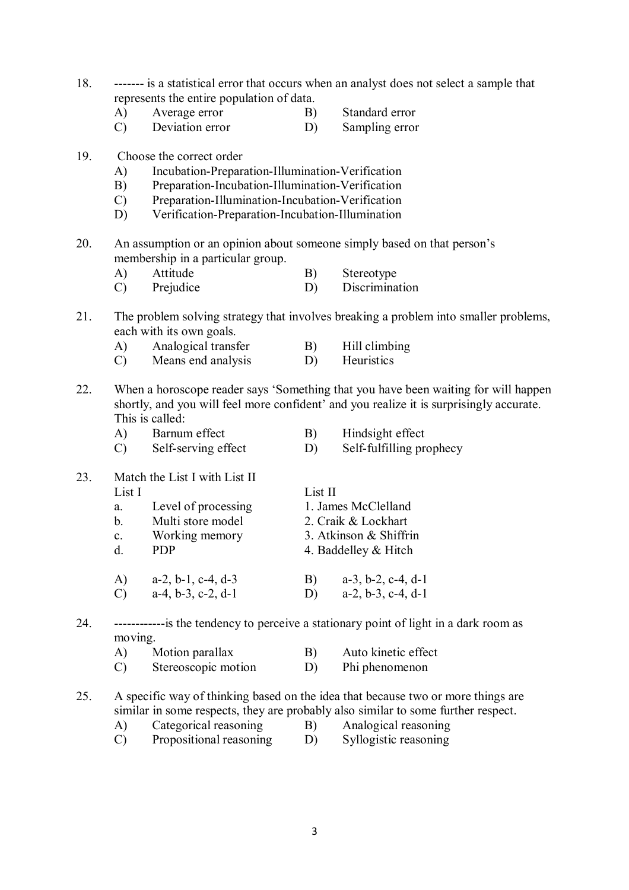- 18. ------- is a statistical error that occurs when an analyst does not select a sample that represents the entire population of data.
	- A) Average error B) Standard error
	- C) Deviation error D) Sampling error
- 19. Choose the correct order
	- A) Incubation-Preparation-Illumination-Verification
	- B) Preparation-Incubation-Illumination-Verification
	- C) Preparation-Illumination-Incubation-Verification
	- D) Verification-Preparation-Incubation-Illumination
- 20. An assumption or an opinion about someone simply based on that person's membership in a particular group.<br>A) Attitude
	- A) Attitude B) Stereotype C) Prejudice D) Discrimination
- 21. The problem solving strategy that involves breaking a problem into smaller problems, each with its own goals.
	- A) Analogical transfer B) Hill climbing
	- C) Means end analysis D) Heuristics
- 22. When a horoscope reader says 'Something that you have been waiting for will happen shortly, and you will feel more confident' and you realize it is surprisingly accurate. This is called:
	- A) Barnum effect B) Hindsight effect
	- C) Self-serving effect D) Self-fulfilling prophecy
- 23. Match the List I with List II List I List II a. Level of processing 1. James McClelland b. Multi store model 2. Craik & Lockhart c. Working memory 3. Atkinson & Shiffrin d. PDP 4. Baddelley & Hitch A) a-2, b-1, c-4, d-3 B) a-3, b-2, c-4, d-1 C) a-4, b-3, c-2, d-1 D) a-2, b-3, c-4, d-1

24. ------------is the tendency to perceive a stationary point of light in a dark room as moving.

| A) | Motion parallax     | $\mathbf{B}$ | Auto kinetic effect |
|----|---------------------|--------------|---------------------|
| C) | Stereoscopic motion | D)           | Phi phenomenon      |

25. A specific way of thinking based on the idea that because two or more things are similar in some respects, they are probably also similar to some further respect.

- A) Categorical reasoning B) Analogical reasoning
- C) Propositional reasoning D) Syllogistic reasoning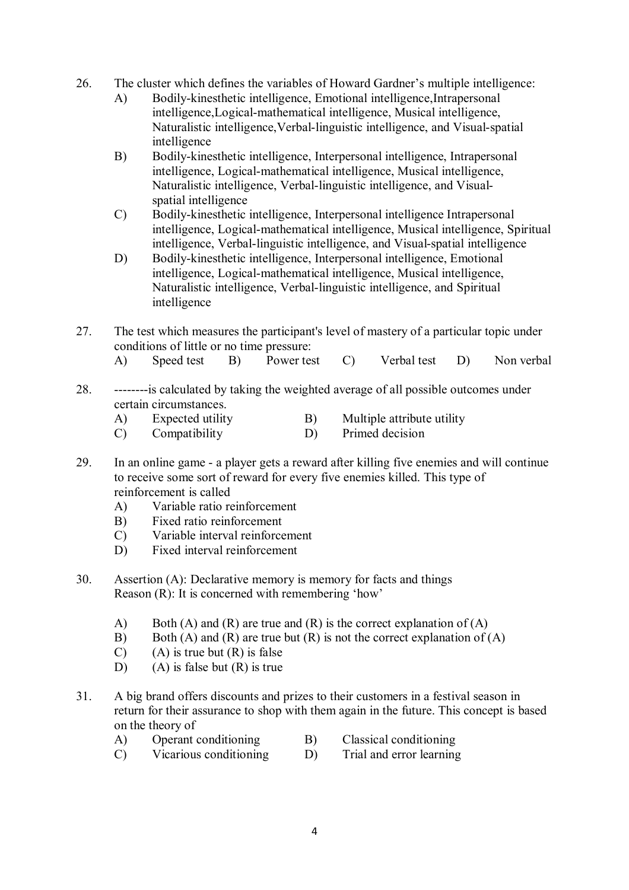- 26. The cluster which defines the variables of Howard Gardner's multiple intelligence:
	- A) Bodily-kinesthetic intelligence, Emotional intelligence,Intrapersonal intelligence,Logical-mathematical intelligence, Musical intelligence, Naturalistic intelligence,Verbal-linguistic intelligence, and Visual-spatial intelligence
	- B) Bodily-kinesthetic intelligence, Interpersonal intelligence, Intrapersonal intelligence, Logical-mathematical intelligence, Musical intelligence, Naturalistic intelligence, Verbal-linguistic intelligence, and Visualspatial intelligence
	- C) Bodily-kinesthetic intelligence, Interpersonal intelligence Intrapersonal intelligence, Logical-mathematical intelligence, Musical intelligence, Spiritual intelligence, Verbal-linguistic intelligence, and Visual-spatial intelligence
	- D) Bodily-kinesthetic intelligence, Interpersonal intelligence, Emotional intelligence, Logical-mathematical intelligence, Musical intelligence, Naturalistic intelligence, Verbal-linguistic intelligence, and Spiritual intelligence
- 27. The test which measures the participant's level of mastery of a particular topic under conditions of little or no time pressure:
	- A) Speed test B) Power test C) Verbal test D) Non verbal
- 28. --------is calculated by taking the weighted average of all possible outcomes under certain circumstances.
	- A) Expected utility B) Multiple attribute utility
	- C) Compatibility D) Primed decision
- 29. In an online game a player gets a reward after killing five enemies and will continue to receive some sort of reward for every five enemies killed. This type of reinforcement is called
	- A) Variable ratio reinforcement
	- B) Fixed ratio reinforcement
	- C) Variable interval reinforcement
	- D) Fixed interval reinforcement
- 30. Assertion (A): Declarative memory is memory for facts and things Reason (R): It is concerned with remembering 'how'
	- A) Both (A) and (R) are true and (R) is the correct explanation of (A)
	- B) Both (A) and (R) are true but (R) is not the correct explanation of (A)
	- $(C)$  (A) is true but  $(R)$  is false
	- D) (A) is false but  $(R)$  is true
- 31. A big brand offers discounts and prizes to their customers in a festival season in return for their assurance to shop with them again in the future. This concept is based on the theory of
	- A) Operant conditioning B) Classical conditioning
		-
	- C) Vicarious conditioning D) Trial and error learning
		-

4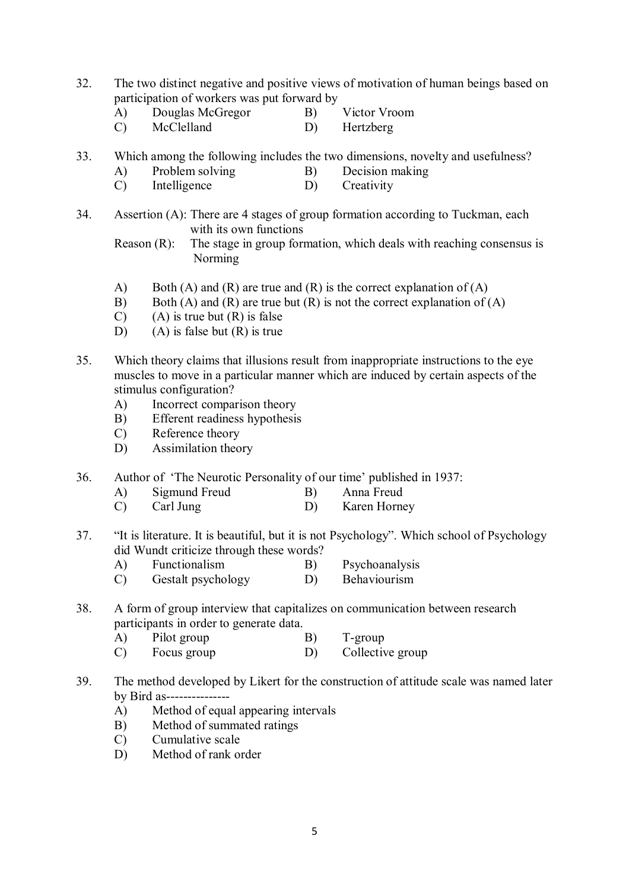- 32. The two distinct negative and positive views of motivation of human beings based on participation of workers was put forward by
	- A) Douglas McGregor B) Victor Vroom
	- C) McClelland D) Hertzberg
- 33. Which among the following includes the two dimensions, novelty and usefulness?
	- A) Problem solving B) Decision making
	- C) Intelligence D) Creativity
- 34. Assertion (A): There are 4 stages of group formation according to Tuckman, each with its own functions

Reason (R): The stage in group formation, which deals with reaching consensus is Norming

- A) Both (A) and (R) are true and (R) is the correct explanation of (A) B) Both (A) and (R) are true but (R) is not the correct explanation of (
- Both (A) and (R) are true but (R) is not the correct explanation of (A)
- $(C)$  (A) is true but  $(R)$  is false
- D) (A) is false but  $(R)$  is true
- 35. Which theory claims that illusions result from inappropriate instructions to the eye muscles to move in a particular manner which are induced by certain aspects of the stimulus configuration?
	- A) Incorrect comparison theory
	- B) Efferent readiness hypothesis
	- C) Reference theory
	- D) Assimilation theory
- 36. Author of 'The Neurotic Personality of our time' published in 1937:
	- A) Sigmund Freud B) Anna Freud<br>
	C) Carl Jung D) Karen Horne
	- C) Carl Jung D) Karen Horney
- 37. "It is literature. It is beautiful, but it is not Psychology". Which school of Psychology did Wundt criticize through these words?
	- A) Functionalism B) Psychoanalysis
	- C) Gestalt psychology D) Behaviourism
- 38. A form of group interview that capitalizes on communication between research participants in order to generate data.
	- A) Pilot group B) T-group
	- C) Focus group D) Collective group
- 39. The method developed by Likert for the construction of attitude scale was named later by Bird as---------------
	- A) Method of equal appearing intervals
	- B) Method of summated ratings
	- C) Cumulative scale
	- D) Method of rank order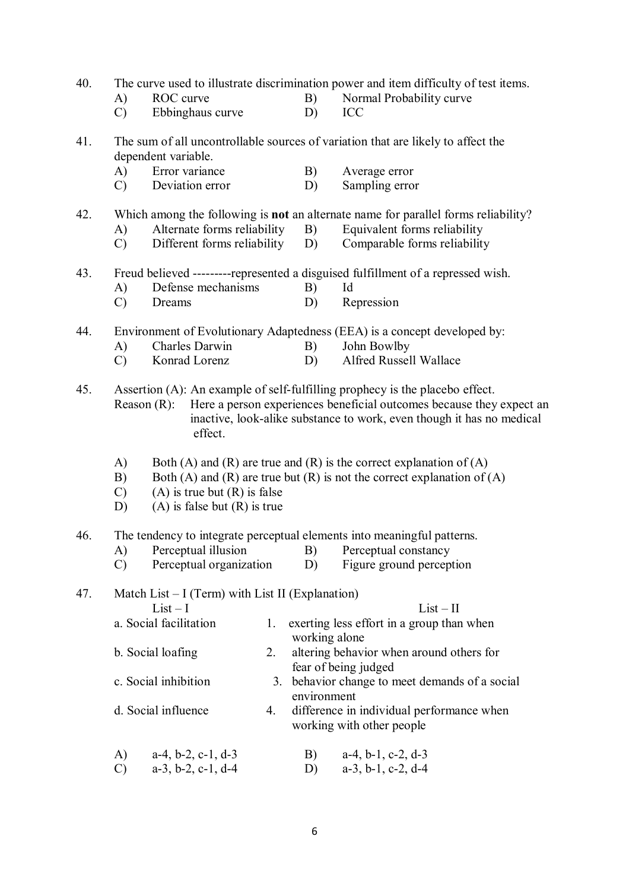| 40. |                     |                                                                      |    |               | The curve used to illustrate discrimination power and item difficulty of test items.                                                           |
|-----|---------------------|----------------------------------------------------------------------|----|---------------|------------------------------------------------------------------------------------------------------------------------------------------------|
|     | A)                  | ROC curve                                                            |    | B)            | Normal Probability curve                                                                                                                       |
|     | $\mathcal{C}$       | Ebbinghaus curve                                                     |    | D)            | ICC                                                                                                                                            |
| 41. |                     |                                                                      |    |               | The sum of all uncontrollable sources of variation that are likely to affect the                                                               |
|     |                     | dependent variable.                                                  |    |               |                                                                                                                                                |
|     | A)                  | Error variance                                                       |    | B)            | Average error                                                                                                                                  |
|     | $\mathcal{C}$       | Deviation error                                                      |    | D)            | Sampling error                                                                                                                                 |
| 42. |                     |                                                                      |    |               | Which among the following is <b>not</b> an alternate name for parallel forms reliability?                                                      |
|     | A)                  | Alternate forms reliability                                          |    | B)            | Equivalent forms reliability                                                                                                                   |
|     | $\mathcal{C}$       | Different forms reliability                                          |    | D)            | Comparable forms reliability                                                                                                                   |
| 43. |                     |                                                                      |    |               | Freud believed ---------represented a disguised fulfillment of a repressed wish.                                                               |
|     | $\mathbf{A}$        | Defense mechanisms                                                   |    | B)            | Id                                                                                                                                             |
|     | $\mathcal{C}$       | Dreams                                                               |    | D)            | Repression                                                                                                                                     |
| 44. |                     |                                                                      |    |               | Environment of Evolutionary Adaptedness (EEA) is a concept developed by:                                                                       |
|     | A)                  | Charles Darwin                                                       |    | B)            | John Bowlby                                                                                                                                    |
|     | $\mathcal{C}$       | Konrad Lorenz                                                        |    | D)            | Alfred Russell Wallace                                                                                                                         |
|     |                     | effect.                                                              |    |               | inactive, look-alike substance to work, even though it has no medical                                                                          |
|     | A)<br>B)            |                                                                      |    |               | Both (A) and (R) are true and (R) is the correct explanation of (A)<br>Both (A) and (R) are true but (R) is not the correct explanation of (A) |
|     | $\mathcal{C}$<br>D) | $(A)$ is true but $(R)$ is false<br>$(A)$ is false but $(R)$ is true |    |               |                                                                                                                                                |
| 46. |                     |                                                                      |    |               | The tendency to integrate perceptual elements into meaningful patterns.                                                                        |
|     | A)                  | Perceptual illusion                                                  |    | B)            | Perceptual constancy                                                                                                                           |
|     | $\mathcal{C}$       | Perceptual organization                                              |    | D)            | Figure ground perception                                                                                                                       |
| 47. |                     | Match List $-I$ (Term) with List II (Explanation)<br>$List-I$        |    |               | $List - II$                                                                                                                                    |
|     |                     | a. Social facilitation                                               | 1. | working alone | exerting less effort in a group than when                                                                                                      |
|     |                     | b. Social loafing                                                    | 2. |               | altering behavior when around others for<br>fear of being judged                                                                               |
|     |                     | c. Social inhibition                                                 | 3. | environment   | behavior change to meet demands of a social                                                                                                    |
|     |                     | d. Social influence                                                  | 4. |               | difference in individual performance when<br>working with other people                                                                         |
|     | A)                  | $a-4$ , $b-2$ , $c-1$ , $d-3$                                        |    | B)            | $a-4$ , $b-1$ , $c-2$ , $d-3$                                                                                                                  |
|     | $\mathcal{C}$       | $a-3$ , $b-2$ , $c-1$ , $d-4$                                        |    | D)            | $a-3$ , $b-1$ , $c-2$ , $d-4$                                                                                                                  |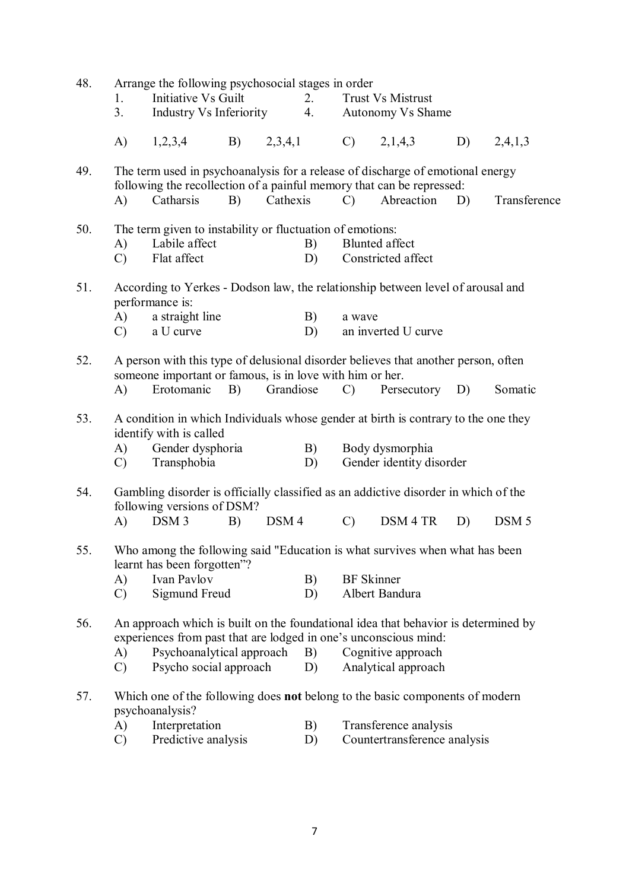| 48. | 1.<br>3 <sub>1</sub> | Arrange the following psychosocial stages in order<br>Initiative Vs Guilt<br>Industry Vs Inferiority                                                    |    |                  | 2.<br>4. |                   | <b>Trust Vs Mistrust</b><br>Autonomy Vs Shame         |    |                  |
|-----|----------------------|---------------------------------------------------------------------------------------------------------------------------------------------------------|----|------------------|----------|-------------------|-------------------------------------------------------|----|------------------|
|     | A)                   | 1,2,3,4                                                                                                                                                 | B) | 2,3,4,1          |          | $\mathcal{C}$     | 2,1,4,3                                               | D) | 2,4,1,3          |
| 49. |                      | The term used in psychoanalysis for a release of discharge of emotional energy<br>following the recollection of a painful memory that can be repressed: |    |                  |          |                   |                                                       |    |                  |
|     | A)                   | Catharsis                                                                                                                                               | B) | Cathexis         |          | $\mathcal{C}$     | Abreaction                                            | D) | Transference     |
| 50. |                      | The term given to instability or fluctuation of emotions:                                                                                               |    |                  |          |                   |                                                       |    |                  |
|     | A)                   | Labile affect                                                                                                                                           |    |                  | B)       |                   | <b>Blunted</b> affect                                 |    |                  |
|     | $\mathcal{C}$        | Flat affect                                                                                                                                             |    |                  | D)       |                   | Constricted affect                                    |    |                  |
| 51. |                      | According to Yerkes - Dodson law, the relationship between level of arousal and<br>performance is:                                                      |    |                  |          |                   |                                                       |    |                  |
|     | A)                   | a straight line                                                                                                                                         |    |                  | B)       | a wave            |                                                       |    |                  |
|     | $\mathcal{C}$        | a U curve                                                                                                                                               |    |                  | D)       |                   | an inverted U curve                                   |    |                  |
| 52. |                      | A person with this type of delusional disorder believes that another person, often<br>someone important or famous, is in love with him or her.          |    |                  |          |                   |                                                       |    |                  |
|     | $\mathbf{A}$         | Erotomanic                                                                                                                                              | B) | Grandiose        |          | $\mathcal{C}$     | Persecutory                                           | D) | Somatic          |
| 53. | A)<br>$\mathcal{C}$  | A condition in which Individuals whose gender at birth is contrary to the one they<br>identify with is called<br>Gender dysphoria<br>Transphobia        |    |                  | B)<br>D) |                   | Body dysmorphia<br>Gender identity disorder           |    |                  |
| 54. |                      | Gambling disorder is officially classified as an addictive disorder in which of the<br>following versions of DSM?                                       |    |                  |          |                   |                                                       |    |                  |
|     | A)                   | DSM <sub>3</sub>                                                                                                                                        | B) | DSM <sub>4</sub> |          | $\mathcal{C}$     | DSM 4 TR                                              | D) | DSM <sub>5</sub> |
| 55. |                      | Who among the following said "Education is what survives when what has been<br>learnt has been forgotten"?                                              |    |                  |          |                   |                                                       |    |                  |
|     | A)                   | Ivan Pavlov                                                                                                                                             |    |                  | B)       | <b>BF</b> Skinner |                                                       |    |                  |
|     | $\mathcal{C}$        | Sigmund Freud                                                                                                                                           |    |                  | D)       |                   | Albert Bandura                                        |    |                  |
| 56. |                      | An approach which is built on the foundational idea that behavior is determined by<br>experiences from past that are lodged in one's unconscious mind:  |    |                  |          |                   |                                                       |    |                  |
|     | A)<br>$\mathcal{C}$  | Psychoanalytical approach<br>Psycho social approach                                                                                                     |    |                  | B)<br>D) |                   | Cognitive approach<br>Analytical approach             |    |                  |
| 57. |                      | Which one of the following does <b>not</b> belong to the basic components of modern<br>psychoanalysis?                                                  |    |                  |          |                   |                                                       |    |                  |
|     | A)<br>$\mathcal{C}$  | Interpretation<br>Predictive analysis                                                                                                                   |    |                  | B)<br>D) |                   | Transference analysis<br>Countertransference analysis |    |                  |
|     |                      |                                                                                                                                                         |    |                  |          |                   |                                                       |    |                  |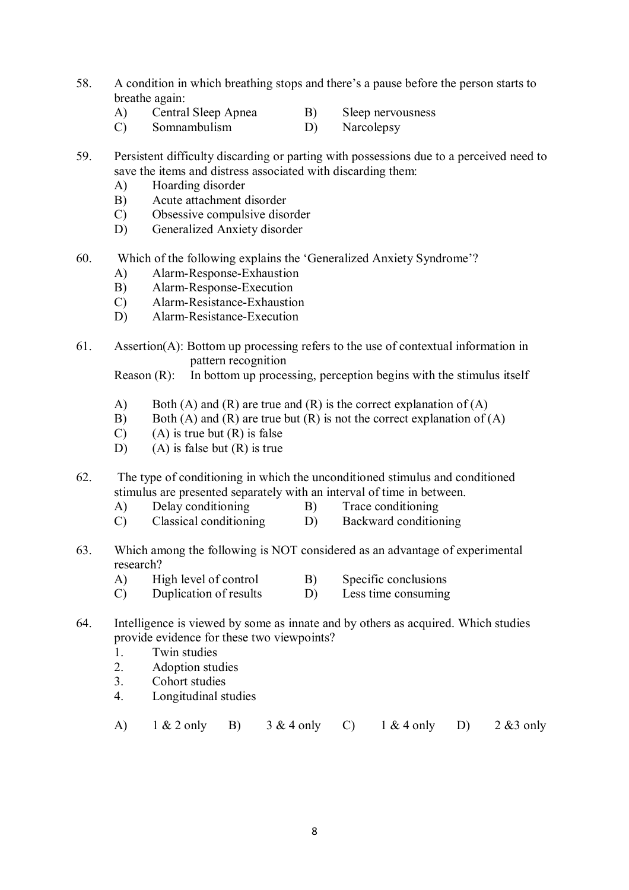- 58. A condition in which breathing stops and there's a pause before the person starts to breathe again:
	- A) Central Sleep Apnea B) Sleep nervousness
	- C) Somnambulism D) Narcolepsy
- 59. Persistent difficulty discarding or parting with possessions due to a perceived need to save the items and distress associated with discarding them:
	- A) Hoarding disorder
	- B) Acute attachment disorder
	- C) Obsessive compulsive disorder
	- D) Generalized Anxiety disorder
- 60. Which of the following explains the 'Generalized Anxiety Syndrome'?
	- A) Alarm-Response-Exhaustion
	- B) Alarm-Response-Execution<br>C) Alarm-Resistance-Exhaustic
	- Alarm-Resistance-Exhaustion
	- D) Alarm-Resistance-Execution
- 61. Assertion(A): Bottom up processing refers to the use of contextual information in pattern recognition

Reason (R): In bottom up processing, perception begins with the stimulus itself

- A) Both (A) and (R) are true and (R) is the correct explanation of (A)
- B) Both (A) and (R) are true but (R) is not the correct explanation of (A)
- $(C)$  (A) is true but  $(R)$  is false
- D) (A) is false but (R) is true
- 62. The type of conditioning in which the unconditioned stimulus and conditioned stimulus are presented separately with an interval of time in between.
	- A) Delay conditioning B) Trace conditioning
	- C) Classical conditioning D) Backward conditioning
- 63. Which among the following is NOT considered as an advantage of experimental research?
	- A) High level of control B) Specific conclusions
	- C) Duplication of results D) Less time consuming
- 64. Intelligence is viewed by some as innate and by others as acquired. Which studies provide evidence for these two viewpoints?
	- 1. Twin studies
	- 2. Adoption studies
	- 3. Cohort studies
	- 4. Longitudinal studies

A) 1 & 2 only B) 3 & 4 only C) 1 & 4 only D) 2 &3 only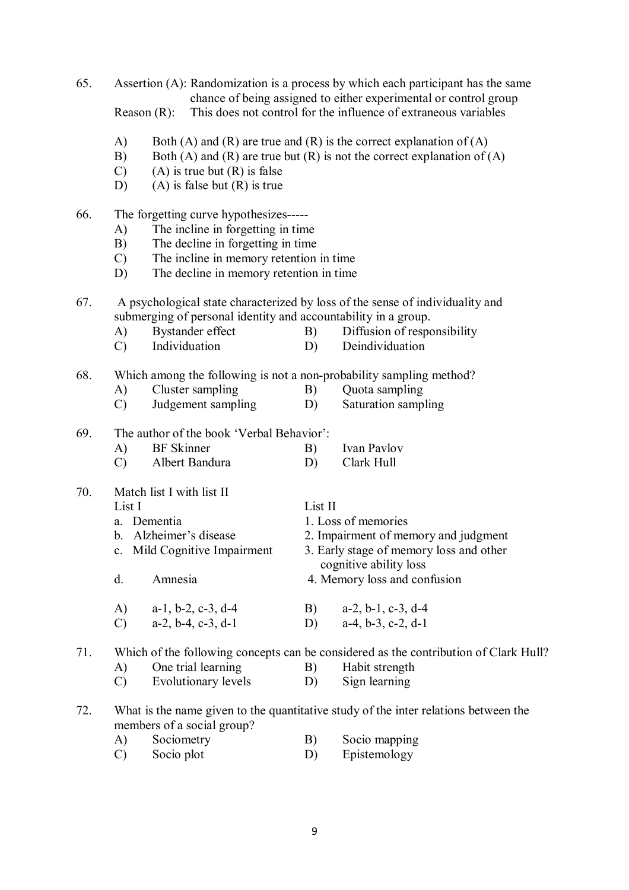65. Assertion (A): Randomization is a process by which each participant has the same chance of being assigned to either experimental or control group Reason (R): This does not control for the influence of extraneous variables A) Both (A) and (R) are true and (R) is the correct explanation of (A) B) Both (A) and (R) are true but (R) is not the correct explanation of (A)  $(C)$  (A) is true but  $(R)$  is false D) (A) is false but  $(R)$  is true 66. The forgetting curve hypothesizes----- A) The incline in forgetting in time B) The decline in forgetting in time C) The incline in memory retention in time D) The decline in memory retention in time 67. A psychological state characterized by loss of the sense of individuality and submerging of personal identity and accountability in a group. A) Bystander effect B) Diffusion of responsibility<br>
C) Individuation D) Deindividuation C) Individuation D) Deindividuation 68. Which among the following is not a non-probability sampling method? A) Cluster sampling B) Ouota sampling C) Judgement sampling D) Saturation sampling 69. The author of the book 'Verbal Behavior': A) BF Skinner B) Ivan Pavlov C) Albert Bandura D) Clark Hull 70. Match list I with list II List I List II a. Dementia 1. Loss of memories b. Alzheimer's disease 2. Impairment of memory and judgment c. Mild Cognitive Impairment 3. Early stage of memory loss and other cognitive ability loss d. Amnesia 4. Memory loss and confusion A) a-1, b-2, c-3, d-4 B) a-2, b-1, c-3, d-4<br>C) a-2, b-4, c-3, d-1 D) a-4, b-3, c-2, d-1 C) a-2, b-4, c-3, d-1 D) 71. Which of the following concepts can be considered as the contribution of Clark Hull? A) One trial learning B) Habit strength C) Evolutionary levels D) Sign learning 72. What is the name given to the quantitative study of the inter relations between the members of a social group? A) Sociometry B) Socio mapping

C) Socio plot D) Epistemology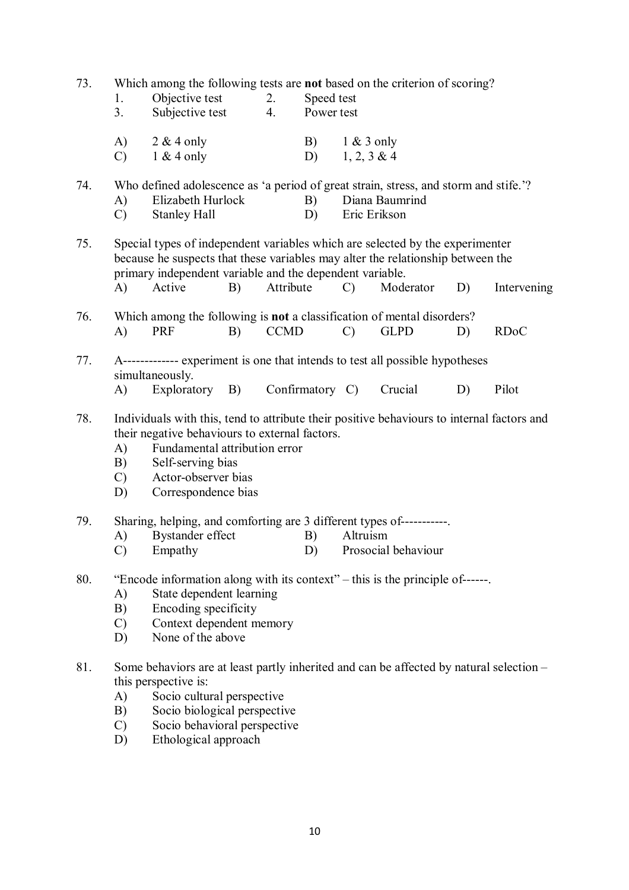73. Which among the following tests are **not** based on the criterion of scoring?

| Objective test | Speed test |  |
|----------------|------------|--|
|                |            |  |

- 3. Subjective test 4. Power test
- A)  $2 \& 4 only$  B)  $1 \& 3 only$ C)  $1 \& 4 only$  D)  $1, 2, 3 \& 4$

74. Who defined adolescence as 'a period of great strain, stress, and storm and stife.'?

- A) Elizabeth Hurlock B) Diana Baumrind
- C) Stanley Hall D) Eric Erikson

75. Special types of independent variables which are selected by the experimenter because he suspects that these variables may alter the relationship between the primary independent variable and the dependent variable. A) Active B) Attribute C) Moderator D) Intervening

- 76. Which among the following is **not** a classification of mental disorders? A) PRF B) CCMD C) GLPD D) RDoC
- 77. A------------- experiment is one that intends to test all possible hypotheses simultaneously.
	- A) Exploratory B) Confirmatory C) Crucial D) Pilot
- 78. Individuals with this, tend to attribute their positive behaviours to internal factors and their negative behaviours to external factors.
	- A) Fundamental attribution error
	- B) Self-serving bias
	- C) Actor-observer bias
	- D) Correspondence bias
- 79. Sharing, helping, and comforting are 3 different types of-----------.<br>A) Bystander effect B) Altruism
	- A) Bystander effect B)
	- C) Empathy D) Prosocial behaviour
- 80. "Encode information along with its context" this is the principle of------.
	- A) State dependent learning
	- B) Encoding specificity
	- C) Context dependent memory
	- D) None of the above
- 81. Some behaviors are at least partly inherited and can be affected by natural selection this perspective is:
	- A) Socio cultural perspective
	- B) Socio biological perspective
	- C) Socio behavioral perspective
	- D) Ethological approach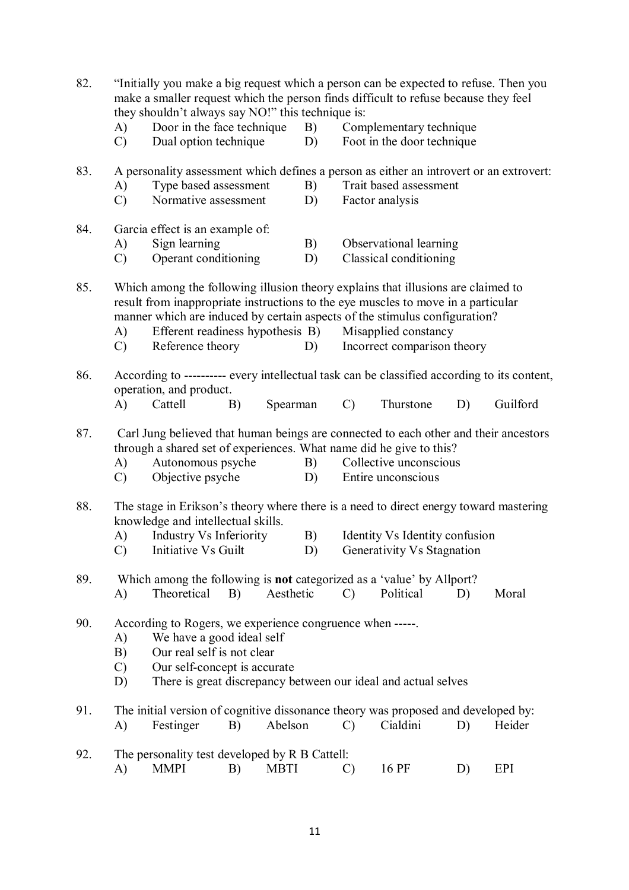| 82. | A)<br>$\mathcal{C}$             | "Initially you make a big request which a person can be expected to refuse. Then you<br>make a smaller request which the person finds difficult to refuse because they feel<br>they shouldn't always say NO!" this technique is:<br>Door in the face technique<br>B)<br>Dual option technique<br>D)         |                                                           |             |          |                                                                                                                                      | Complementary technique<br>Foot in the door technique          |    |          |  |
|-----|---------------------------------|-------------------------------------------------------------------------------------------------------------------------------------------------------------------------------------------------------------------------------------------------------------------------------------------------------------|-----------------------------------------------------------|-------------|----------|--------------------------------------------------------------------------------------------------------------------------------------|----------------------------------------------------------------|----|----------|--|
| 83. | A)<br>$\mathcal{C}$             |                                                                                                                                                                                                                                                                                                             | Type based assessment<br>B)<br>Normative assessment<br>D) |             |          | A personality assessment which defines a person as either an introvert or an extrovert:<br>Trait based assessment<br>Factor analysis |                                                                |    |          |  |
| 84. | A)<br>$\mathcal{C}$             | Garcia effect is an example of:<br>Sign learning<br>Operant conditioning                                                                                                                                                                                                                                    |                                                           |             | B)<br>D) | Observational learning<br>Classical conditioning                                                                                     |                                                                |    |          |  |
| 85. | A)<br>$\mathcal{C}$             | Which among the following illusion theory explains that illusions are claimed to<br>result from inappropriate instructions to the eye muscles to move in a particular<br>manner which are induced by certain aspects of the stimulus configuration?<br>Efferent readiness hypothesis B)<br>Reference theory |                                                           |             | D)       |                                                                                                                                      | Misapplied constancy<br>Incorrect comparison theory            |    |          |  |
| 86. | A)                              | According to ---------- every intellectual task can be classified according to its content,<br>operation, and product.<br>Cattell                                                                                                                                                                           | B)                                                        | Spearman    |          | $\mathcal{C}$                                                                                                                        | Thurstone                                                      | D) | Guilford |  |
| 87. | A)<br>$\mathcal{C}$             | Carl Jung believed that human beings are connected to each other and their ancestors<br>through a shared set of experiences. What name did he give to this?<br>Autonomous psyche<br>Objective psyche                                                                                                        |                                                           |             | B)<br>D) |                                                                                                                                      | Collective unconscious<br>Entire unconscious                   |    |          |  |
| 88. | A)<br>$\mathcal{C}$             | The stage in Erikson's theory where there is a need to direct energy toward mastering<br>knowledge and intellectual skills.<br><b>Industry Vs Inferiority</b><br>Initiative Vs Guilt                                                                                                                        |                                                           |             | B)<br>D) |                                                                                                                                      | Identity Vs Identity confusion<br>Generativity Vs Stagnation   |    |          |  |
| 89. | A)                              | Which among the following is <b>not</b> categorized as a 'value' by Allport?<br>Theoretical                                                                                                                                                                                                                 | B)                                                        | Aesthetic   |          | $\mathcal{C}$                                                                                                                        | Political                                                      | D) | Moral    |  |
| 90. | A)<br>B)<br>$\mathcal{C}$<br>D) | According to Rogers, we experience congruence when -----.<br>We have a good ideal self<br>Our real self is not clear<br>Our self-concept is accurate                                                                                                                                                        |                                                           |             |          |                                                                                                                                      | There is great discrepancy between our ideal and actual selves |    |          |  |
| 91. | A)                              | The initial version of cognitive dissonance theory was proposed and developed by:<br>Festinger                                                                                                                                                                                                              | B)                                                        | Abelson     |          | $\mathcal{C}$                                                                                                                        | Cialdini                                                       | D) | Heider   |  |
| 92. | A)                              | The personality test developed by R B Cattell:<br><b>MMPI</b>                                                                                                                                                                                                                                               | B)                                                        | <b>MBTI</b> |          | $\mathcal{C}$                                                                                                                        | 16 PF                                                          | D) | EPI      |  |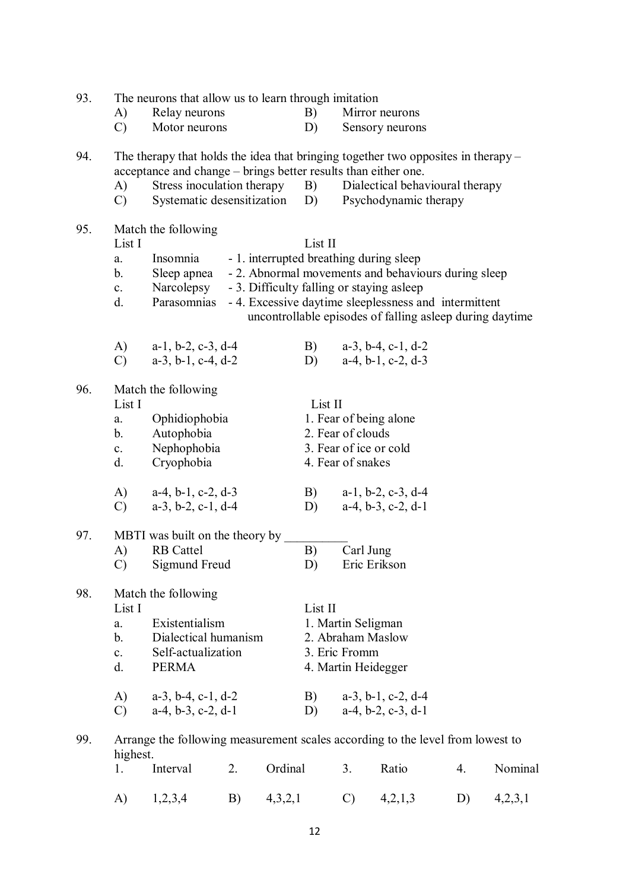| 93. | The neurons that allow us to learn through imitation           |                                                                                                                                                                                      |    |         |                     | Mirror neurons                         |                                                                                                                                                                                                                                                                                                   |    |         |  |  |
|-----|----------------------------------------------------------------|--------------------------------------------------------------------------------------------------------------------------------------------------------------------------------------|----|---------|---------------------|----------------------------------------|---------------------------------------------------------------------------------------------------------------------------------------------------------------------------------------------------------------------------------------------------------------------------------------------------|----|---------|--|--|
|     | A)<br>$\mathcal{C}$                                            | Relay neurons<br>Motor neurons                                                                                                                                                       |    |         | B)<br>D)            |                                        | Sensory neurons                                                                                                                                                                                                                                                                                   |    |         |  |  |
| 94. | A)<br>$\mathcal{C}$                                            | The therapy that holds the idea that bringing together two opposites in therapy –<br>acceptance and change – brings better results than either one.<br>Stress inoculation therapy B) |    |         |                     |                                        | Dialectical behavioural therapy<br>Systematic desensitization D) Psychodynamic therapy                                                                                                                                                                                                            |    |         |  |  |
| 95. | List I<br>a.<br>b.<br>$c_{\cdot}$<br>d.<br>A)                  | Match the following<br>Insomnia<br>Sleep apnea<br>Narcolepsy<br>Parasomnias<br>$a-1$ , $b-2$ , $c-3$ , $d-4$                                                                         |    |         | List II<br>B)       |                                        | - 1. interrupted breathing during sleep<br>- 2. Abnormal movements and behaviours during sleep<br>- 3. Difficulty falling or staying asleep<br>- 4. Excessive daytime sleeplessness and intermittent<br>uncontrollable episodes of falling asleep during daytime<br>$a-3$ , $b-4$ , $c-1$ , $d-2$ |    |         |  |  |
|     | $\mathcal{C}$                                                  | $a-3$ , $b-1$ , $c-4$ , $d-2$                                                                                                                                                        |    |         | D)                  |                                        | $a-4, b-1, c-2, d-3$                                                                                                                                                                                                                                                                              |    |         |  |  |
| 96. | List I<br>a.<br>b.<br>$c_{\cdot}$<br>d.<br>A)<br>$\mathcal{C}$ | Match the following<br>Ophidiophobia<br>Autophobia<br>Nephophobia<br>Cryophobia<br>$a-4$ , $b-1$ , $c-2$ , $d-3$<br>$a-3$ , $b-2$ , $c-1$ , $d-4$                                    |    |         | List II<br>B)<br>D) | 2. Fear of clouds<br>4. Fear of snakes | 1. Fear of being alone<br>3. Fear of ice or cold<br>$a-1$ , $b-2$ , $c-3$ , $d-4$<br>$a-4, b-3, c-2, d-1$                                                                                                                                                                                         |    |         |  |  |
| 97. | A)<br>$\mathcal{C}$ )                                          | MBTI was built on the theory by<br><b>RB</b> Cattel<br>Sigmund Freud                                                                                                                 |    |         | B)<br>D)            | Carl Jung                              | Eric Erikson                                                                                                                                                                                                                                                                                      |    |         |  |  |
| 98. | List I<br>a.<br>b.<br>$c_{\cdot}$<br>d.<br>A)                  | Match the following<br>Existentialism<br>Dialectical humanism<br>Self-actualization<br><b>PERMA</b><br>$a-3$ , $b-4$ , $c-1$ , $d-2$                                                 |    |         | List II<br>B)       | 1. Martin Seligman<br>3. Eric Fromm    | 2. Abraham Maslow<br>4. Martin Heidegger<br>$a-3$ , $b-1$ , $c-2$ , $d-4$                                                                                                                                                                                                                         |    |         |  |  |
|     | $\mathcal{C}$                                                  | $a-4$ , $b-3$ , $c-2$ , $d-1$                                                                                                                                                        |    |         | D)                  |                                        | $a-4$ , $b-2$ , $c-3$ , $d-1$                                                                                                                                                                                                                                                                     |    |         |  |  |
| 99. | highest.                                                       | Arrange the following measurement scales according to the level from lowest to                                                                                                       |    |         |                     |                                        |                                                                                                                                                                                                                                                                                                   |    |         |  |  |
|     | 1.                                                             | Interval                                                                                                                                                                             | 2. | Ordinal |                     | 3.                                     | Ratio                                                                                                                                                                                                                                                                                             | 4. | Nominal |  |  |
|     | A)                                                             | 1,2,3,4                                                                                                                                                                              | B) | 4,3,2,1 |                     | $\mathcal{C}$                          | 4,2,1,3                                                                                                                                                                                                                                                                                           | D) | 4,2,3,1 |  |  |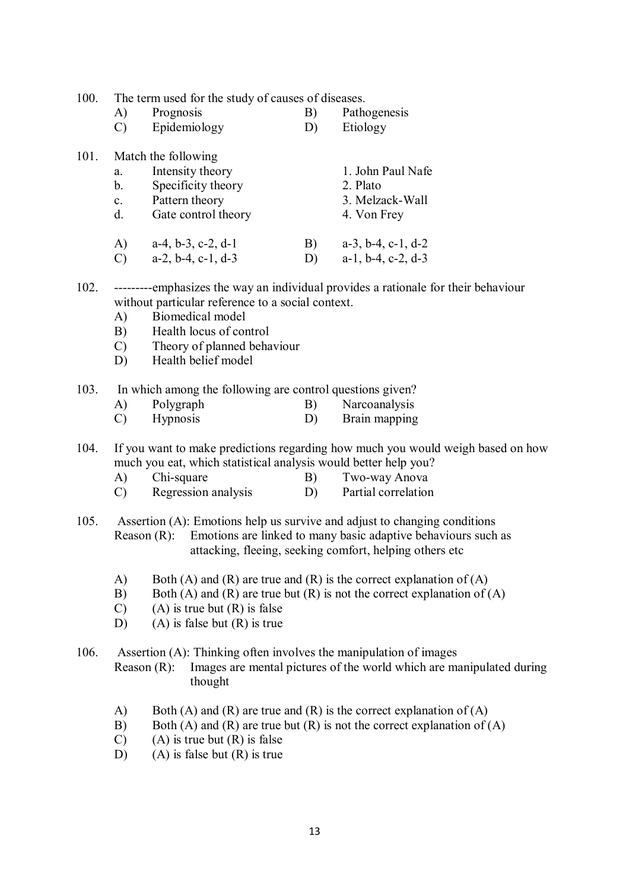100. The term used for the study of causes of diseases.

- A) Prognosis B) Pathogenesis
- C) Epidemiology D) Etiology

| 101. |                | Match the following  |              |                               |
|------|----------------|----------------------|--------------|-------------------------------|
|      | a.             | Intensity theory     |              | 1. John Paul Nafe             |
|      | $b_{\cdot}$    | Specificity theory   |              | 2. Plato                      |
|      | $\mathbf{c}$ . | Pattern theory       |              | 3. Melzack-Wall               |
|      | $d_{\cdot}$    | Gate control theory  |              | 4. Von Frey                   |
|      | A)             | $a-4, b-3, c-2, d-1$ | $\mathbf{B}$ | $a-3$ , $b-4$ , $c-1$ , $d-2$ |
|      | $\sim$         |                      | $\mathbf{L}$ | $111$ $212$                   |

- C) a-2, b-4, c-1, d-3 D) a-1, b-4, c-2, d-3
- 102. ---------emphasizes the way an individual provides a rationale for their behaviour without particular reference to a social context.
	- A) Biomedical model
	- B) Health locus of control
	- C) Theory of planned behaviour
	- D) Health belief model

## 103. In which among the following are control questions given?

- A) Polygraph B) Narcoanalysis
- C) Hypnosis D) Brain mapping

104. If you want to make predictions regarding how much you would weigh based on how much you eat, which statistical analysis would better help you?

- 
- A) Chi-square B) Two-way Anova<br>
C) Regression analysis D) Partial correlation  $(C)$  Regression analysis  $(D)$

105. Assertion (A): Emotions help us survive and adjust to changing conditions Reason (R): Emotions are linked to many basic adaptive behaviours such as attacking, fleeing, seeking comfort, helping others etc

- A) Both (A) and (R) are true and (R) is the correct explanation of (A)
- B) Both (A) and (R) are true but (R) is not the correct explanation of (A)
- $(C)$  (A) is true but  $(R)$  is false
- D) (A) is false but  $(R)$  is true

106. Assertion (A): Thinking often involves the manipulation of images Reason (R): Images are mental pictures of the world which are manipulated during thought

- A) Both (A) and (R) are true and (R) is the correct explanation of (A)
- B) Both (A) and (R) are true but (R) is not the correct explanation of (A)
- $(C)$  (A) is true but  $(R)$  is false
- D) (A) is false but (R) is true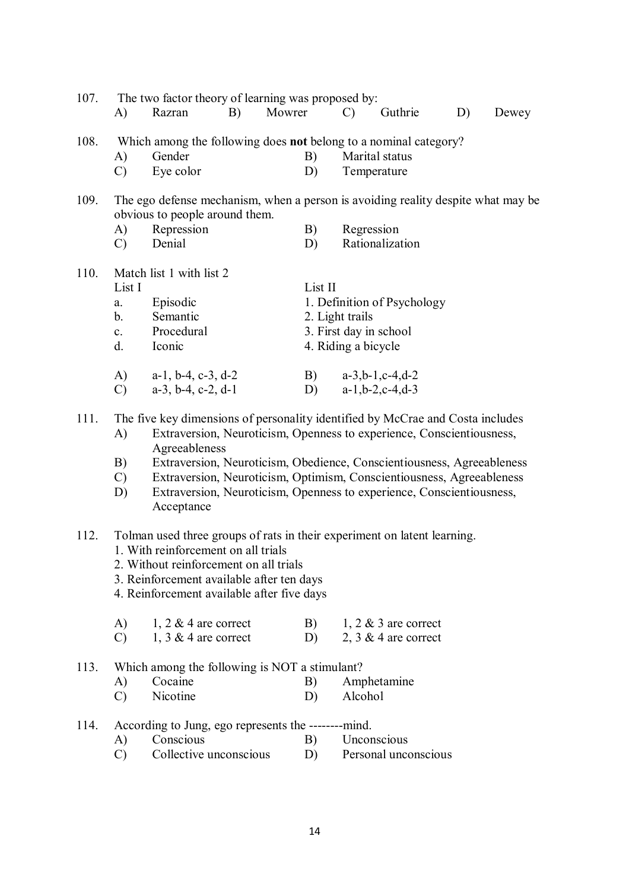| 107. | A)                                                                  | The two factor theory of learning was proposed by:<br>B)<br>Razran                                                                                                                                                                                                                                                                                                                                                 | Mowrer |                                                         | $\mathcal{C}$ | Guthrie                                                                                            | D) | Dewey |
|------|---------------------------------------------------------------------|--------------------------------------------------------------------------------------------------------------------------------------------------------------------------------------------------------------------------------------------------------------------------------------------------------------------------------------------------------------------------------------------------------------------|--------|---------------------------------------------------------|---------------|----------------------------------------------------------------------------------------------------|----|-------|
| 108. | A)<br>$\mathcal{C}$                                                 | Which among the following does not belong to a nominal category?<br>Gender<br>Eye color                                                                                                                                                                                                                                                                                                                            |        | B)<br>D)                                                |               | Marital status<br>Temperature                                                                      |    |       |
| 109. | A)<br>$\mathcal{C}$                                                 | The ego defense mechanism, when a person is avoiding reality despite what may be<br>obvious to people around them.<br>Repression<br>Denial                                                                                                                                                                                                                                                                         |        | B)<br>D)                                                | Regression    | Rationalization                                                                                    |    |       |
| 110. | List I<br>a.<br>$b_{\cdot}$<br>$c_{-}$<br>d.<br>A)<br>$\mathcal{C}$ | Match list 1 with list 2<br>Episodic<br>Semantic<br>Procedural<br>Iconic<br>$a-1$ , $b-4$ , $c-3$ , $d-2$<br>$a-3$ , $b-4$ , $c-2$ , $d-1$                                                                                                                                                                                                                                                                         |        | List II<br>2. Light trails<br>4. Riding a bicycle<br>D) |               | 1. Definition of Psychology<br>3. First day in school<br>B) $a-3,b-1,c-4,d-2$<br>$a-1,b-2,c-4,d-3$ |    |       |
| 111. | A)<br>B)<br>$\mathcal{C}$<br>D)                                     | The five key dimensions of personality identified by McCrae and Costa includes<br>Extraversion, Neuroticism, Openness to experience, Conscientiousness,<br>Agreeableness<br>Extraversion, Neuroticism, Obedience, Conscientiousness, Agreeableness<br>Extraversion, Neuroticism, Optimism, Conscientiousness, Agreeableness<br>Extraversion, Neuroticism, Openness to experience, Conscientiousness,<br>Acceptance |        |                                                         |               |                                                                                                    |    |       |
| 112. |                                                                     | Tolman used three groups of rats in their experiment on latent learning.<br>1. With reinforcement on all trials<br>2. Without reinforcement on all trials<br>3. Reinforcement available after ten days<br>4. Reinforcement available after five days                                                                                                                                                               |        |                                                         |               |                                                                                                    |    |       |
|      | A)<br>$\mathcal{C}$                                                 | 1, 2 $&$ 4 are correct<br>1, 3 $&$ 4 are correct                                                                                                                                                                                                                                                                                                                                                                   |        | B)<br>D)                                                |               | 1, 2 $\&$ 3 are correct<br>2, 3 $&$ 4 are correct                                                  |    |       |
| 113. | A)<br>$\mathcal{C}$                                                 | Which among the following is NOT a stimulant?<br>Cocaine<br>Nicotine                                                                                                                                                                                                                                                                                                                                               |        | B)<br>D)                                                | Alcohol       | Amphetamine                                                                                        |    |       |
| 114. | A)<br>$\mathcal{C}$                                                 | According to Jung, ego represents the --------mind.<br>Conscious<br>Collective unconscious                                                                                                                                                                                                                                                                                                                         |        | B)<br>D)                                                |               | Unconscious<br>Personal unconscious                                                                |    |       |